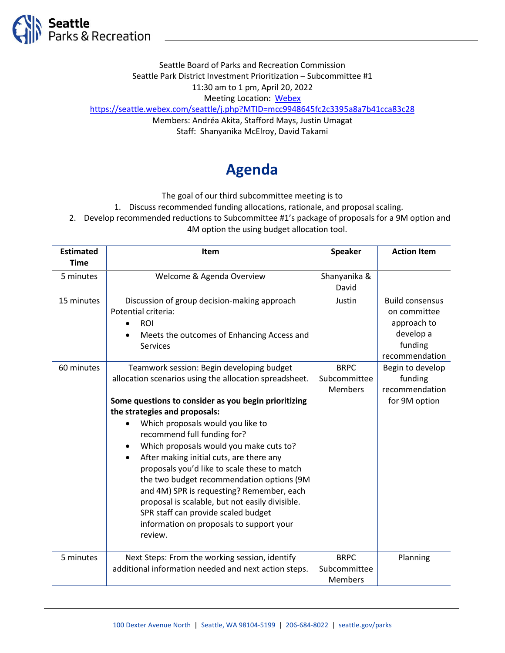

Seattle Board of Parks and Recreation Commission Seattle Park District Investment Prioritization – Subcommittee #1 11:30 am to 1 pm, April 20, 2022 Meeting Location: [Webex](https://seattle.webex.com/seattle/j.php?MTID=mcc9948645fc2c3395a8a7b41cca83c28) <https://seattle.webex.com/seattle/j.php?MTID=mcc9948645fc2c3395a8a7b41cca83c28> Members: Andréa Akita, Stafford Mays, Justin Umagat Staff: Shanyanika McElroy, David Takami

## **Agenda**

The goal of our third subcommittee meeting is to

1. Discuss recommended funding allocations, rationale, and proposal scaling.

2. Develop recommended reductions to Subcommittee #1's package of proposals for a 9M option and

4M option the using budget allocation tool.

| <b>Estimated</b> | <b>Item</b>                                            | <b>Speaker</b> | <b>Action Item</b>     |
|------------------|--------------------------------------------------------|----------------|------------------------|
| <b>Time</b>      |                                                        |                |                        |
| 5 minutes        | Welcome & Agenda Overview                              | Shanyanika &   |                        |
|                  |                                                        | David          |                        |
| 15 minutes       | Discussion of group decision-making approach           | Justin         | <b>Build consensus</b> |
|                  | Potential criteria:                                    |                | on committee           |
|                  | <b>ROI</b>                                             |                | approach to            |
|                  | Meets the outcomes of Enhancing Access and             |                | develop a              |
|                  | <b>Services</b>                                        |                | funding                |
|                  |                                                        |                | recommendation         |
| 60 minutes       | Teamwork session: Begin developing budget              | <b>BRPC</b>    | Begin to develop       |
|                  | allocation scenarios using the allocation spreadsheet. | Subcommittee   | funding                |
|                  |                                                        | <b>Members</b> | recommendation         |
|                  | Some questions to consider as you begin prioritizing   |                | for 9M option          |
|                  | the strategies and proposals:                          |                |                        |
|                  | Which proposals would you like to                      |                |                        |
|                  | recommend full funding for?                            |                |                        |
|                  | Which proposals would you make cuts to?                |                |                        |
|                  | After making initial cuts, are there any<br>٠          |                |                        |
|                  | proposals you'd like to scale these to match           |                |                        |
|                  | the two budget recommendation options (9M              |                |                        |
|                  | and 4M) SPR is requesting? Remember, each              |                |                        |
|                  | proposal is scalable, but not easily divisible.        |                |                        |
|                  | SPR staff can provide scaled budget                    |                |                        |
|                  | information on proposals to support your               |                |                        |
|                  | review.                                                |                |                        |
|                  |                                                        |                |                        |
| 5 minutes        | Next Steps: From the working session, identify         | <b>BRPC</b>    | Planning               |
|                  | additional information needed and next action steps.   | Subcommittee   |                        |
|                  |                                                        | <b>Members</b> |                        |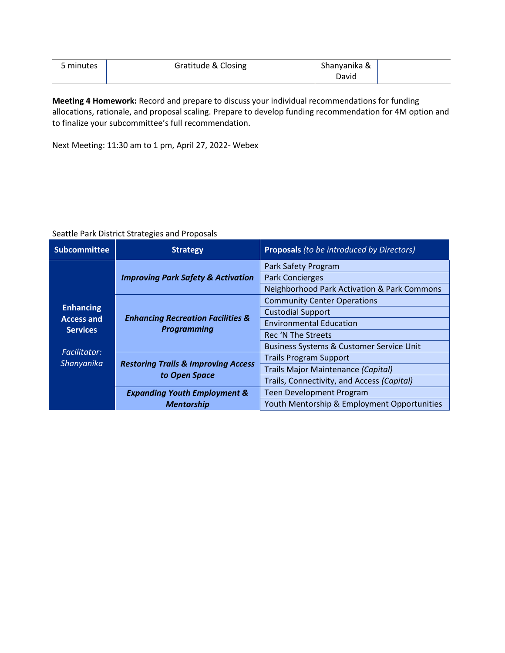| 5 minutes | Gratitude & Closing | Shanyanika & |  |
|-----------|---------------------|--------------|--|
|           |                     | David        |  |

**Meeting 4 Homework:** Record and prepare to discuss your individual recommendations for funding allocations, rationale, and proposal scaling. Prepare to develop funding recommendation for 4M option and to finalize your subcommittee's full recommendation.

Next Meeting: 11:30 am to 1 pm, April 27, 2022- Webex

## Seattle Park District Strategies and Proposals

| <b>Subcommittee</b>                                                                           | <b>Strategy</b>                                                    | <b>Proposals</b> (to be introduced by Directors)       |
|-----------------------------------------------------------------------------------------------|--------------------------------------------------------------------|--------------------------------------------------------|
|                                                                                               | <b>Improving Park Safety &amp; Activation</b>                      | Park Safety Program                                    |
|                                                                                               |                                                                    | <b>Park Concierges</b>                                 |
|                                                                                               |                                                                    | <b>Neighborhood Park Activation &amp; Park Commons</b> |
| <b>Enhancing</b><br><b>Access and</b><br><b>Services</b><br><b>Facilitator:</b><br>Shanyanika | <b>Enhancing Recreation Facilities &amp;</b><br><b>Programming</b> | <b>Community Center Operations</b>                     |
|                                                                                               |                                                                    | <b>Custodial Support</b>                               |
|                                                                                               |                                                                    | <b>Environmental Education</b>                         |
|                                                                                               |                                                                    | Rec 'N The Streets                                     |
|                                                                                               |                                                                    | <b>Business Systems &amp; Customer Service Unit</b>    |
|                                                                                               | <b>Restoring Trails &amp; Improving Access</b><br>to Open Space    | <b>Trails Program Support</b>                          |
|                                                                                               |                                                                    | Trails Major Maintenance (Capital)                     |
|                                                                                               |                                                                    | Trails, Connectivity, and Access (Capital)             |
|                                                                                               | <b>Expanding Youth Employment &amp;</b>                            | <b>Teen Development Program</b>                        |
|                                                                                               | <b>Mentorship</b>                                                  | Youth Mentorship & Employment Opportunities            |